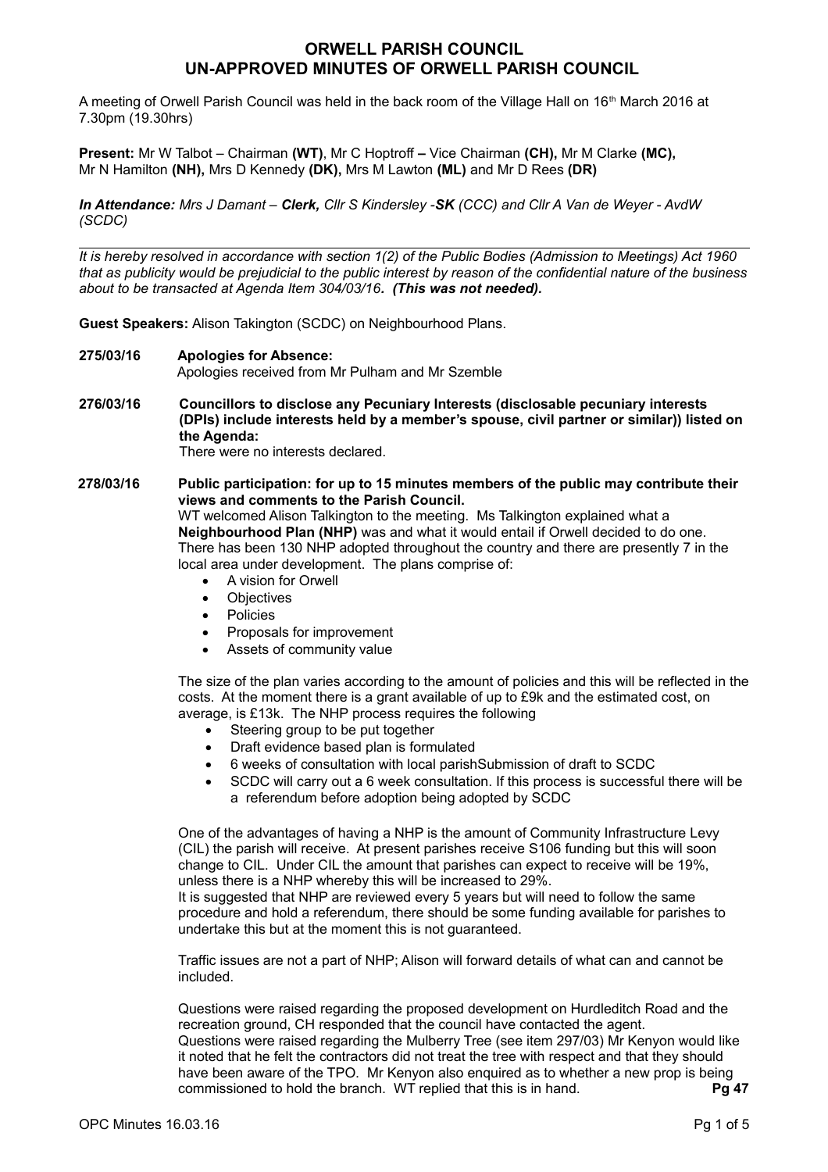## **ORWELL PARISH COUNCIL UN-APPROVED MINUTES OF ORWELL PARISH COUNCIL**

A meeting of Orwell Parish Council was held in the back room of the Village Hall on  $16<sup>th</sup>$  March 2016 at 7.30pm (19.30hrs)

**Present:** Mr W Talbot – Chairman **(WT)**, Mr C Hoptroff **–** Vice Chairman **(CH),** Mr M Clarke **(MC),** Mr N Hamilton **(NH),** Mrs D Kennedy **(DK),** Mrs M Lawton **(ML)** and Mr D Rees **(DR)** 

*In Attendance: Mrs J Damant – Clerk, Cllr S Kindersley -SK (CCC) and Cllr A Van de Weyer - AvdW (SCDC)*

*It is hereby resolved in accordance with section 1(2) of the Public Bodies (Admission to Meetings) Act 1960 that as publicity would be prejudicial to the public interest by reason of the confidential nature of the business about to be transacted at Agenda Item 304/03/16. (This was not needed).*

**Guest Speakers:** Alison Takington (SCDC) on Neighbourhood Plans.

- **275/03/16 Apologies for Absence:** Apologies received from Mr Pulham and Mr Szemble
- **276/03/16 Councillors to disclose any Pecuniary Interests (disclosable pecuniary interests (DPIs) include interests held by a member's spouse, civil partner or similar)) listed on the Agenda:** There were no interests declared.

**278/03/16 Public participation: for up to 15 minutes members of the public may contribute their views and comments to the Parish Council.** WT welcomed Alison Talkington to the meeting. Ms Talkington explained what a **Neighbourhood Plan (NHP)** was and what it would entail if Orwell decided to do one. There has been 130 NHP adopted throughout the country and there are presently 7 in the local area under development. The plans comprise of:

- A vision for Orwell
- **Objectives**
- Policies
- Proposals for improvement
- Assets of community value

The size of the plan varies according to the amount of policies and this will be reflected in the costs. At the moment there is a grant available of up to £9k and the estimated cost, on average, is £13k. The NHP process requires the following

- Steering group to be put together
- Draft evidence based plan is formulated
- 6 weeks of consultation with local parishSubmission of draft to SCDC
- SCDC will carry out a 6 week consultation. If this process is successful there will be a referendum before adoption being adopted by SCDC

One of the advantages of having a NHP is the amount of Community Infrastructure Levy (CIL) the parish will receive. At present parishes receive S106 funding but this will soon change to CIL. Under CIL the amount that parishes can expect to receive will be 19%, unless there is a NHP whereby this will be increased to 29%.

It is suggested that NHP are reviewed every 5 years but will need to follow the same procedure and hold a referendum, there should be some funding available for parishes to undertake this but at the moment this is not guaranteed.

Traffic issues are not a part of NHP; Alison will forward details of what can and cannot be included.

Questions were raised regarding the proposed development on Hurdleditch Road and the recreation ground, CH responded that the council have contacted the agent. Questions were raised regarding the Mulberry Tree (see item 297/03) Mr Kenyon would like it noted that he felt the contractors did not treat the tree with respect and that they should have been aware of the TPO. Mr Kenyon also enquired as to whether a new prop is being commissioned to hold the branch. WT replied that this is in hand. **Pg 47**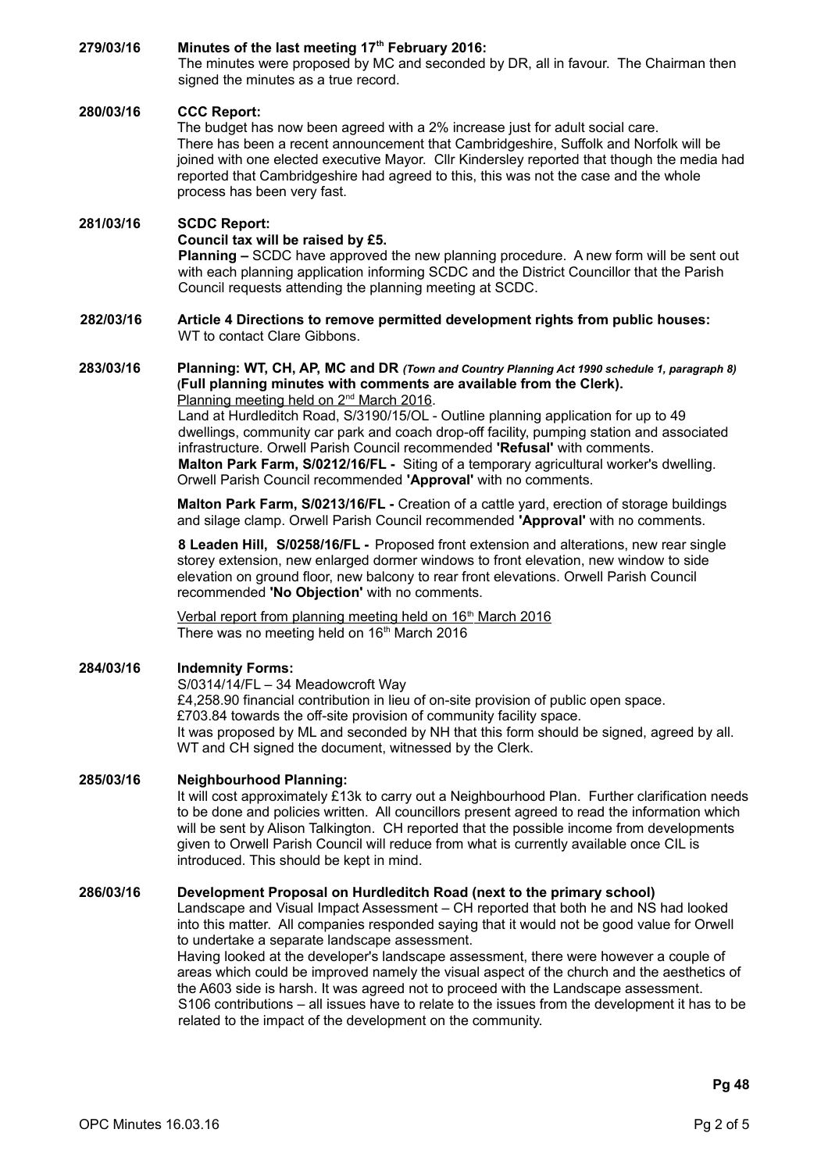#### **279/03/16 Minutes of the last meeting 17th February 2016:**

The minutes were proposed by MC and seconded by DR, all in favour. The Chairman then signed the minutes as a true record.

# **280/03/16 CCC Report:**

The budget has now been agreed with a 2% increase just for adult social care. There has been a recent announcement that Cambridgeshire, Suffolk and Norfolk will be joined with one elected executive Mayor. Cllr Kindersley reported that though the media had reported that Cambridgeshire had agreed to this, this was not the case and the whole process has been very fast.

#### **281/03/16 SCDC Report: Council tax will be raised by £5.**

**Planning –** SCDC have approved the new planning procedure. A new form will be sent out with each planning application informing SCDC and the District Councillor that the Parish Council requests attending the planning meeting at SCDC.

**282/03/16 Article 4 Directions to remove permitted development rights from public houses:** WT to contact Clare Gibbons.

#### **283/03/16 Planning: WT, CH, AP, MC and DR** *(Town and Country Planning Act 1990 schedule 1, paragraph 8)* **(Full planning minutes with comments are available from the Clerk).**  Planning meeting held on 2<sup>nd</sup> March 2016.

Land at Hurdleditch Road, S/3190/15/OL - Outline planning application for up to 49 dwellings, community car park and coach drop-off facility, pumping station and associated infrastructure. Orwell Parish Council recommended **'Refusal'** with comments. **Malton Park Farm, S/0212/16/FL -** Siting of a temporary agricultural worker's dwelling. Orwell Parish Council recommended **'Approval'** with no comments.

**Malton Park Farm, S/0213/16/FL -** Creation of a cattle yard, erection of storage buildings and silage clamp. Orwell Parish Council recommended **'Approval'** with no comments.

**8 Leaden Hill, S/0258/16/FL -** Proposed front extension and alterations, new rear single storey extension, new enlarged dormer windows to front elevation, new window to side elevation on ground floor, new balcony to rear front elevations. Orwell Parish Council recommended **'No Objection'** with no comments.

Verbal report from planning meeting held on 16<sup>th</sup> March 2016 There was no meeting held on  $16<sup>th</sup>$  March 2016

## **284/03/16 Indemnity Forms:**

S/0314/14/FL – 34 Meadowcroft Way £4,258.90 financial contribution in lieu of on-site provision of public open space. £703.84 towards the off-site provision of community facility space. It was proposed by ML and seconded by NH that this form should be signed, agreed by all. WT and CH signed the document, witnessed by the Clerk.

### **285/03/16 Neighbourhood Planning:**

It will cost approximately £13k to carry out a Neighbourhood Plan. Further clarification needs to be done and policies written. All councillors present agreed to read the information which will be sent by Alison Talkington. CH reported that the possible income from developments given to Orwell Parish Council will reduce from what is currently available once CIL is introduced. This should be kept in mind.

### **286/03/16 Development Proposal on Hurdleditch Road (next to the primary school)**

Landscape and Visual Impact Assessment – CH reported that both he and NS had looked into this matter. All companies responded saying that it would not be good value for Orwell to undertake a separate landscape assessment.

Having looked at the developer's landscape assessment, there were however a couple of areas which could be improved namely the visual aspect of the church and the aesthetics of the A603 side is harsh. It was agreed not to proceed with the Landscape assessment. S106 contributions – all issues have to relate to the issues from the development it has to be related to the impact of the development on the community.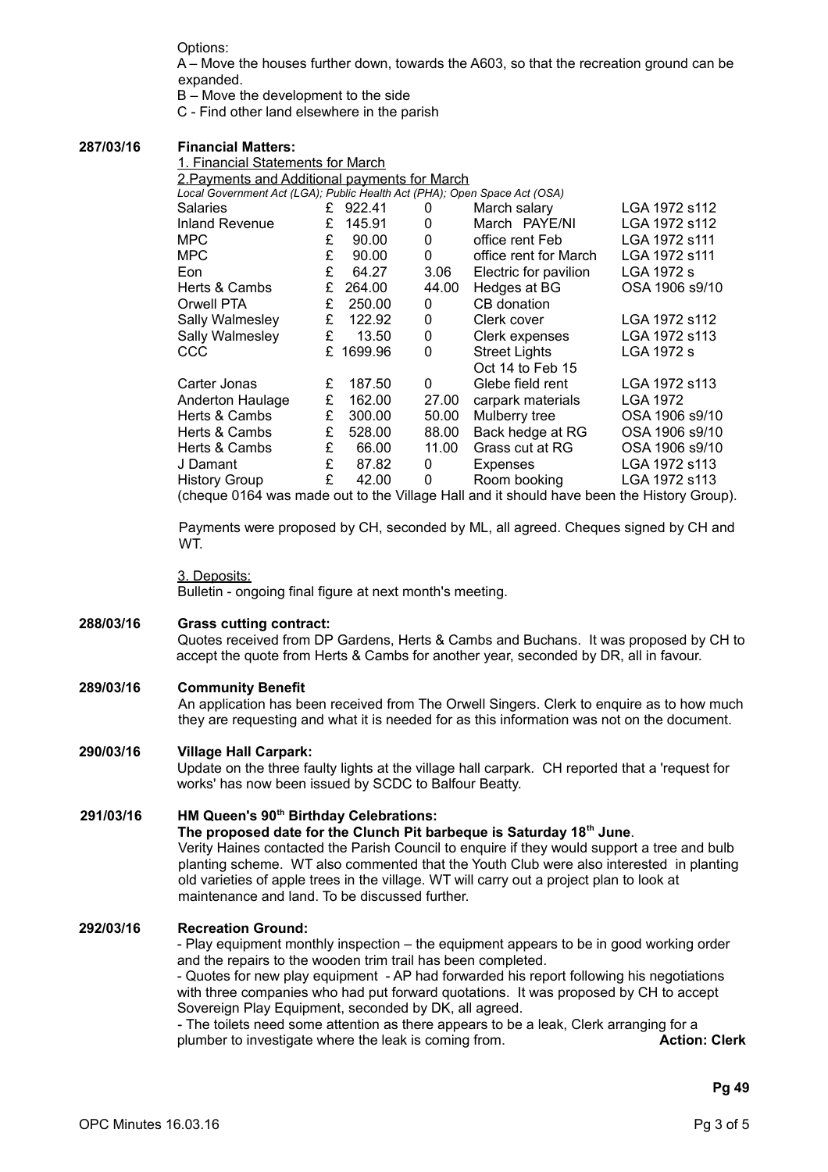Options:

A – Move the houses further down, towards the A603, so that the recreation ground can be expanded.

B – Move the development to the side

C - Find other land elsewhere in the parish

### **287/03/16 Financial Matters:**

1. Financial Statements for March 2.Payments and Additional payments for March

| 2. Favillettis allu Augulustiai pavillettis toi Marchi                    |  |  |
|---------------------------------------------------------------------------|--|--|
| Local Government Act (LGA); Public Health Act (PHA); Open Space Act (OSA) |  |  |

| Lucar Guvernment Aut (LGA), r ublic Fleatur Aut (r FIA), Open Space Aut (OSA)             |   |          |          |                       |                |  |
|-------------------------------------------------------------------------------------------|---|----------|----------|-----------------------|----------------|--|
| <b>Salaries</b>                                                                           |   | £ 922.41 | 0        | March salary          | LGA 1972 s112  |  |
| <b>Inland Revenue</b>                                                                     | £ | 145.91   | 0        | March PAYE/NI         | LGA 1972 s112  |  |
| MPC                                                                                       | £ | 90.00    | 0        | office rent Feb       | LGA 1972 s111  |  |
| <b>MPC</b>                                                                                | £ | 90.00    | 0        | office rent for March | LGA 1972 s111  |  |
| Eon                                                                                       | £ | 64.27    | 3.06     | Electric for pavilion | LGA 1972 s     |  |
| Herts & Cambs                                                                             | £ | 264.00   | 44.00    | Hedges at BG          | OSA 1906 s9/10 |  |
| Orwell PTA                                                                                | £ | 250.00   | 0        | CB donation           |                |  |
| Sally Walmesley                                                                           | £ | 122.92   | 0        | Clerk cover           | LGA 1972 s112  |  |
| Sally Walmesley                                                                           | £ | 13.50    | 0        | Clerk expenses        | LGA 1972 s113  |  |
| CCC                                                                                       | £ | 1699.96  | 0        | <b>Street Lights</b>  | LGA 1972 s     |  |
|                                                                                           |   |          |          | Oct 14 to Feb 15      |                |  |
| Carter Jonas                                                                              | £ | 187.50   | $\Omega$ | Glebe field rent      | LGA 1972 s113  |  |
| <b>Anderton Haulage</b>                                                                   | £ | 162.00   | 27.00    | carpark materials     | LGA 1972       |  |
| Herts & Cambs                                                                             | £ | 300.00   | 50.00    | Mulberry tree         | OSA 1906 s9/10 |  |
| Herts & Cambs                                                                             | £ | 528.00   | 88.00    | Back hedge at RG      | OSA 1906 s9/10 |  |
| Herts & Cambs                                                                             | £ | 66.00    | 11.00    | Grass cut at RG       | OSA 1906 s9/10 |  |
| J Damant                                                                                  | £ | 87.82    | 0        | Expenses              | LGA 1972 s113  |  |
| <b>History Group</b>                                                                      | £ | 42.00    | 0        | Room booking          | LGA 1972 s113  |  |
| (cheque 0164 was made out to the Village Hall and it should have been the History Group). |   |          |          |                       |                |  |

Payments were proposed by CH, seconded by ML, all agreed. Cheques signed by CH and WT.

#### 3. Deposits:

Bulletin - ongoing final figure at next month's meeting.

### **288/03/16 Grass cutting contract:**

Quotes received from DP Gardens, Herts & Cambs and Buchans. It was proposed by CH to accept the quote from Herts & Cambs for another year, seconded by DR, all in favour.

### **289/03/16 Community Benefit**

An application has been received from The Orwell Singers. Clerk to enquire as to how much they are requesting and what it is needed for as this information was not on the document.

#### **290/03/16 Village Hall Carpark:**

Update on the three faulty lights at the village hall carpark. CH reported that a 'request for works' has now been issued by SCDC to Balfour Beatty.

#### **291/03/16 HM Queen's 90th Birthday Celebrations:**

### **The proposed date for the Clunch Pit barbeque is Saturday 18th June**.

Verity Haines contacted the Parish Council to enquire if they would support a tree and bulb planting scheme. WT also commented that the Youth Club were also interested in planting old varieties of apple trees in the village. WT will carry out a project plan to look at maintenance and land. To be discussed further.

#### **292/03/16 Recreation Ground:**

- Play equipment monthly inspection – the equipment appears to be in good working order and the repairs to the wooden trim trail has been completed.

- Quotes for new play equipment - AP had forwarded his report following his negotiations with three companies who had put forward quotations. It was proposed by CH to accept Sovereign Play Equipment, seconded by DK, all agreed.

- The toilets need some attention as there appears to be a leak, Clerk arranging for a plumber to investigate where the leak is coming from. **Action: Clerk**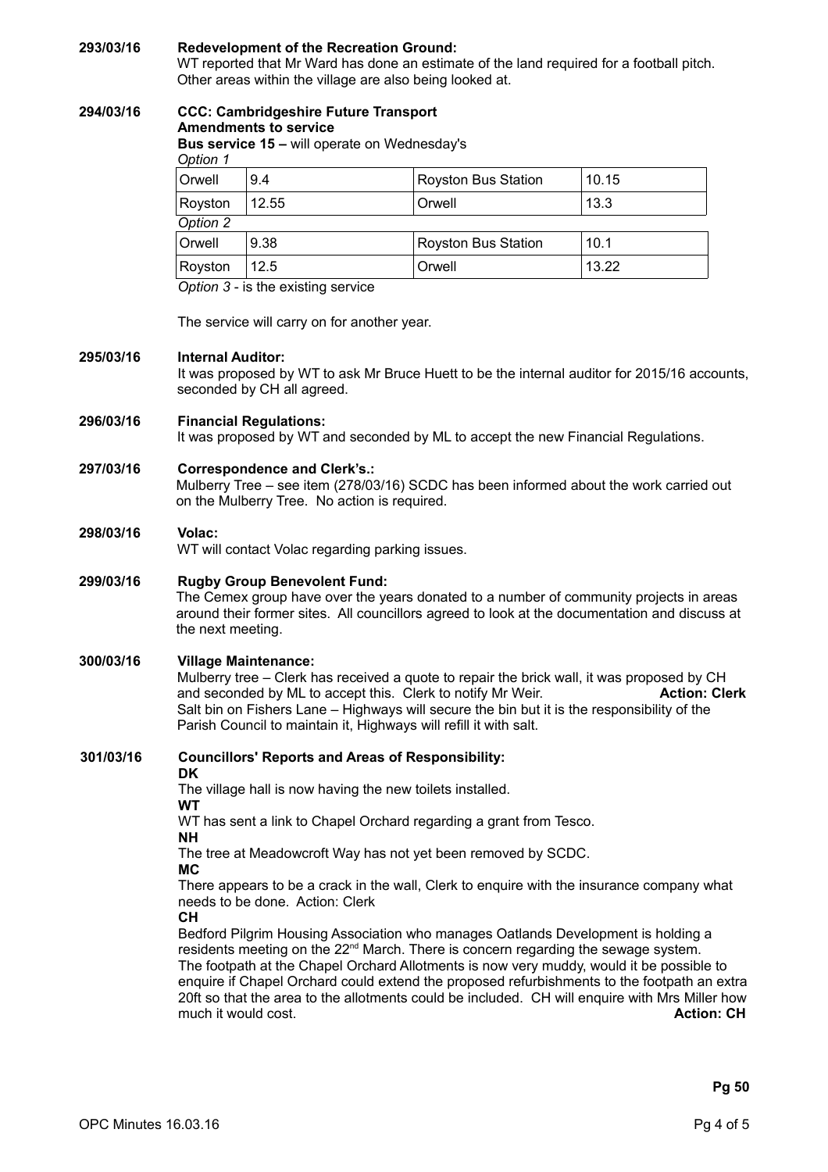## **293/03/16 Redevelopment of the Recreation Ground:**

WT reported that Mr Ward has done an estimate of the land required for a football pitch. Other areas within the village are also being looked at.

#### **294/03/16 CCC: Cambridgeshire Future Transport Amendments to service**

**Bus service 15 –** will operate on Wednesday's *Option 1* 

| Orwell   | 9.4   | <b>Royston Bus Station</b> | 10.15 |  |  |  |  |
|----------|-------|----------------------------|-------|--|--|--|--|
| Royston  | 12.55 | Orwell                     | 13.3  |  |  |  |  |
| Option 2 |       |                            |       |  |  |  |  |
| Orwell   | 9.38  | <b>Royston Bus Station</b> | 10.1  |  |  |  |  |
| Royston  | 12.5  | Orwell                     | 13.22 |  |  |  |  |

*Option 3* - is the existing service

The service will carry on for another year.

### **295/03/16 Internal Auditor:**

It was proposed by WT to ask Mr Bruce Huett to be the internal auditor for 2015/16 accounts, seconded by CH all agreed.

### **296/03/16 Financial Regulations:**

It was proposed by WT and seconded by ML to accept the new Financial Regulations.

#### **297/03/16 Correspondence and Clerk's.:**

Mulberry Tree – see item (278/03/16) SCDC has been informed about the work carried out on the Mulberry Tree. No action is required.

#### **298/03/16 Volac:**

WT will contact Volac regarding parking issues.

#### **299/03/16 Rugby Group Benevolent Fund:**

The Cemex group have over the years donated to a number of community projects in areas around their former sites. All councillors agreed to look at the documentation and discuss at the next meeting.

### **300/03/16 Village Maintenance:**

Mulberry tree – Clerk has received a quote to repair the brick wall, it was proposed by CH and seconded by ML to accept this. Clerk to notify Mr Weir. **Action: Clerk** Salt bin on Fishers Lane – Highways will secure the bin but it is the responsibility of the Parish Council to maintain it, Highways will refill it with salt.

**301/03/16 Councillors' Reports and Areas of Responsibility: DK** The village hall is now having the new toilets installed.

**WT** 

WT has sent a link to Chapel Orchard regarding a grant from Tesco.

**NH**

The tree at Meadowcroft Way has not yet been removed by SCDC.

**MC**

There appears to be a crack in the wall, Clerk to enquire with the insurance company what needs to be done. Action: Clerk

**CH**

Bedford Pilgrim Housing Association who manages Oatlands Development is holding a residents meeting on the  $22<sup>nd</sup>$  March. There is concern regarding the sewage system. The footpath at the Chapel Orchard Allotments is now very muddy, would it be possible to enquire if Chapel Orchard could extend the proposed refurbishments to the footpath an extra 20ft so that the area to the allotments could be included. CH will enquire with Mrs Miller how much it would cost. **Action: CH Action: CH**